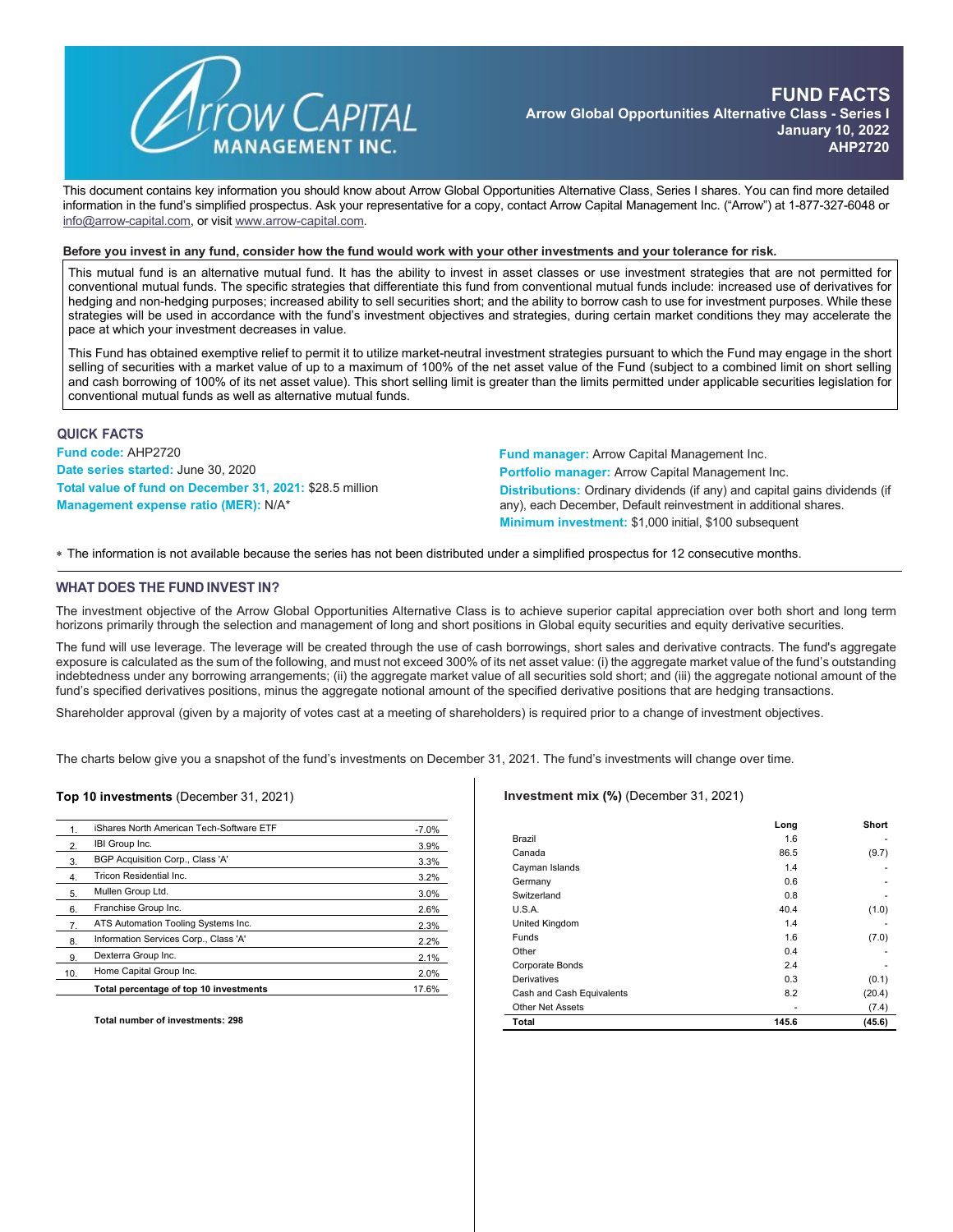

This document contains key information you should know about Arrow Global Opportunities Alternative Class, Series I shares. You can find more detailed information in the fund's simplified prospectus. Ask your representative for a copy, contact Arrow Capital Management Inc. ("Arrow") at 1-877-327-6048 or [info@arrow-capital.com,](mailto:info@arrow-capital.com) or visit [www.arrow-capital.com.](http://www.arrow-capital.com/)

#### Before you invest in any fund, consider how the fund would work with your other investments and your tolerance for risk.

This mutual fund is an alternative mutual fund. It has the ability to invest in asset classes or use investment strategies that are not permitted for conventional mutual funds. The specific strategies that differentiate this fund from conventional mutual funds include: increased use of derivatives for hedging and non-hedging purposes; increased ability to sell securities short; and the ability to borrow cash to use for investment purposes. While these strategies will be used in accordance with the fund's investment objectives and strategies, during certain market conditions they may accelerate the pace at which your investment decreases in value.

This Fund has obtained exemptive relief to permit it to utilize market-neutral investment strategies pursuant to which the Fund may engage in the short selling of securities with a market value of up to a maximum of 100% of the net asset value of the Fund (subject to a combined limit on short selling and cash borrowing of 100% of its net asset value). This short selling limit is greater than the limits permitted under applicable securities legislation for conventional mutual funds as well as alternative mutual funds.

### **QUICK FACTS**

**Fund code:** AHP2720 **Date series started:** June 30, 2020 **Total value of fund on December 31, 2021:** \$28.5 million **Management expense ratio (MER):** N/A\*

**Fund manager:** Arrow Capital Management Inc. **Portfolio manager:** Arrow Capital Management Inc. **Distributions:** Ordinary dividends (if any) and capital gains dividends (if any), each December, Default reinvestment in additional shares. **Minimum investment:** \$1,000 initial, \$100 subsequent

∗ The information is not available because the series has not been distributed under a simplified prospectus for 12 consecutive months.

### **WHAT DOES THE FUND INVEST IN?**

The investment objective of the Arrow Global Opportunities Alternative Class is to achieve superior capital appreciation over both short and long term horizons primarily through the selection and management of long and short positions in Global equity securities and equity derivative securities.

The fund will use leverage. The leverage will be created through the use of cash borrowings, short sales and derivative contracts. The fund's aggregate exposure is calculated as the sum of the following, and must not exceed 300% of its net asset value: (i) the aggregate market value of the fund's outstanding indebtedness under any borrowing arrangements; (ii) the aggregate market value of all securities sold short; and (iii) the aggregate notional amount of the fund's specified derivatives positions, minus the aggregate notional amount of the specified derivative positions that are hedging transactions.

Shareholder approval (given by a majority of votes cast at a meeting of shareholders) is required prior to a change of investment objectives.

The charts below give you a snapshot of the fund's investments on December 31, 2021. The fund's investments will change over time.

#### **Top 10 investments** (December 31, 2021)

|                  | iShares North American Tech-Software ETF | $-7.0%$ |
|------------------|------------------------------------------|---------|
| 2.               | IBI Group Inc.                           | 3.9%    |
| 3.               | BGP Acquisition Corp., Class 'A'         | 3.3%    |
| $\overline{4}$   | Tricon Residential Inc.                  | 3.2%    |
| 5.               | Mullen Group Ltd.                        | 3.0%    |
| 6.               | Franchise Group Inc.                     | 2.6%    |
| $\overline{7}$ . | ATS Automation Tooling Systems Inc.      | 2.3%    |
| 8.               | Information Services Corp., Class 'A'    | 2.2%    |
| 9.               | Dexterra Group Inc.                      | 2.1%    |
| 10.              | Home Capital Group Inc.                  | 2.0%    |
|                  | Total percentage of top 10 investments   | 17.6%   |

**Total number of investments: 298**

### **Investment mix (%)** (December 31, 2021)

|                           | Long  | Short  |
|---------------------------|-------|--------|
| Brazil                    | 1.6   |        |
| Canada                    | 86.5  | (9.7)  |
| Cayman Islands            | 1.4   |        |
| Germany                   | 0.6   | ۰      |
| Switzerland               | 0.8   |        |
| U.S.A.                    | 40.4  | (1.0)  |
| United Kingdom            | 1.4   |        |
| <b>Funds</b>              | 1.6   | (7.0)  |
| Other                     | 0.4   | ۰      |
| Corporate Bonds           | 2.4   |        |
| Derivatives               | 0.3   | (0.1)  |
| Cash and Cash Equivalents | 8.2   | (20.4) |
| <b>Other Net Assets</b>   |       | (7.4)  |
| Total                     | 145.6 | (45.6) |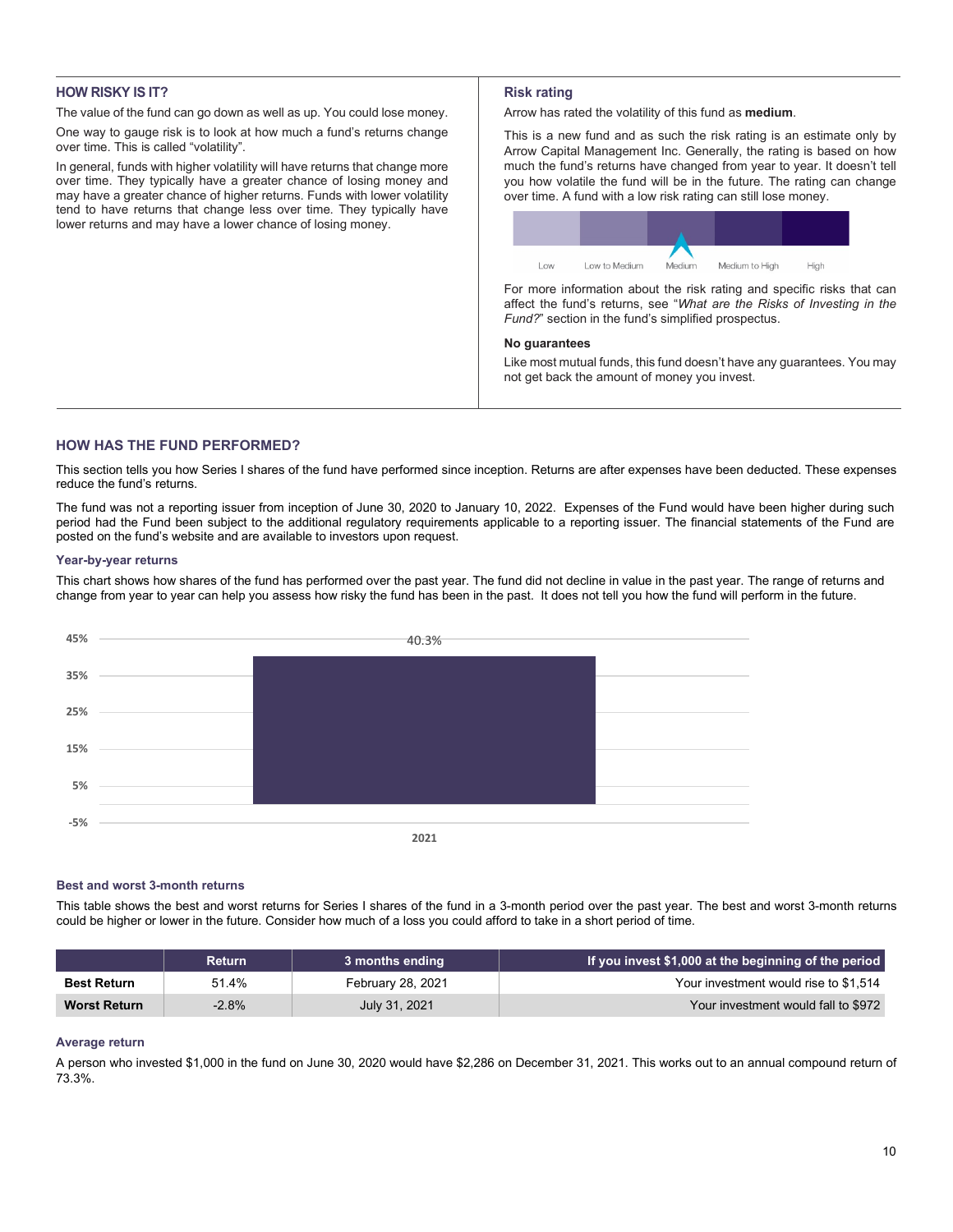# **HOW RISKY IS IT?**

The value of the fund can go down as well as up. You could lose money.

One way to gauge risk is to look at how much a fund's returns change over time. This is called "volatility".

In general, funds with higher volatility will have returns that change more over time. They typically have a greater chance of losing money and may have a greater chance of higher returns. Funds with lower volatility tend to have returns that change less over time. They typically have lower returns and may have a lower chance of losing money.

# **Risk rating**

Arrow has rated the volatility of this fund as **medium**.

This is a new fund and as such the risk rating is an estimate only by Arrow Capital Management Inc. Generally, the rating is based on how much the fund's returns have changed from year to year. It doesn't tell you how volatile the fund will be in the future. The rating can change over time. A fund with a low risk rating can still lose money.



For more information about the risk rating and specific risks that can affect the fund's returns, see "*What are the Risks of Investing in the Fund?*" section in the fund's simplified prospectus.

### **No guarantees**

Like most mutual funds, this fund doesn't have any guarantees. You may not get back the amount of money you invest.

# **HOW HAS THE FUND PERFORMED?**

This section tells you how Series I shares of the fund have performed since inception. Returns are after expenses have been deducted. These expenses reduce the fund's returns.

The fund was not a reporting issuer from inception of June 30, 2020 to January 10, 2022. Expenses of the Fund would have been higher during such period had the Fund been subject to the additional regulatory requirements applicable to a reporting issuer. The financial statements of the Fund are posted on the fund's website and are available to investors upon request.

### **Year-by-year returns**

This chart shows how shares of the fund has performed over the past year. The fund did not decline in value in the past year. The range of returns and change from year to year can help you assess how risky the fund has been in the past. It does not tell you how the fund will perform in the future.



#### **Best and worst 3-month returns**

This table shows the best and worst returns for Series I shares of the fund in a 3-month period over the past year. The best and worst 3-month returns could be higher or lower in the future. Consider how much of a loss you could afford to take in a short period of time.

|                     | <b>Return</b> | 3 months ending   | If you invest \$1,000 at the beginning of the period |
|---------------------|---------------|-------------------|------------------------------------------------------|
| <b>Best Return</b>  | 51.4%         | February 28, 2021 | Your investment would rise to \$1.514                |
| <b>Worst Return</b> | $-2.8\%$      | July 31, 2021     | Your investment would fall to \$972                  |

## **Average return**

A person who invested \$1,000 in the fund on June 30, 2020 would have \$2,286 on December 31, 2021. This works out to an annual compound return of 73.3%.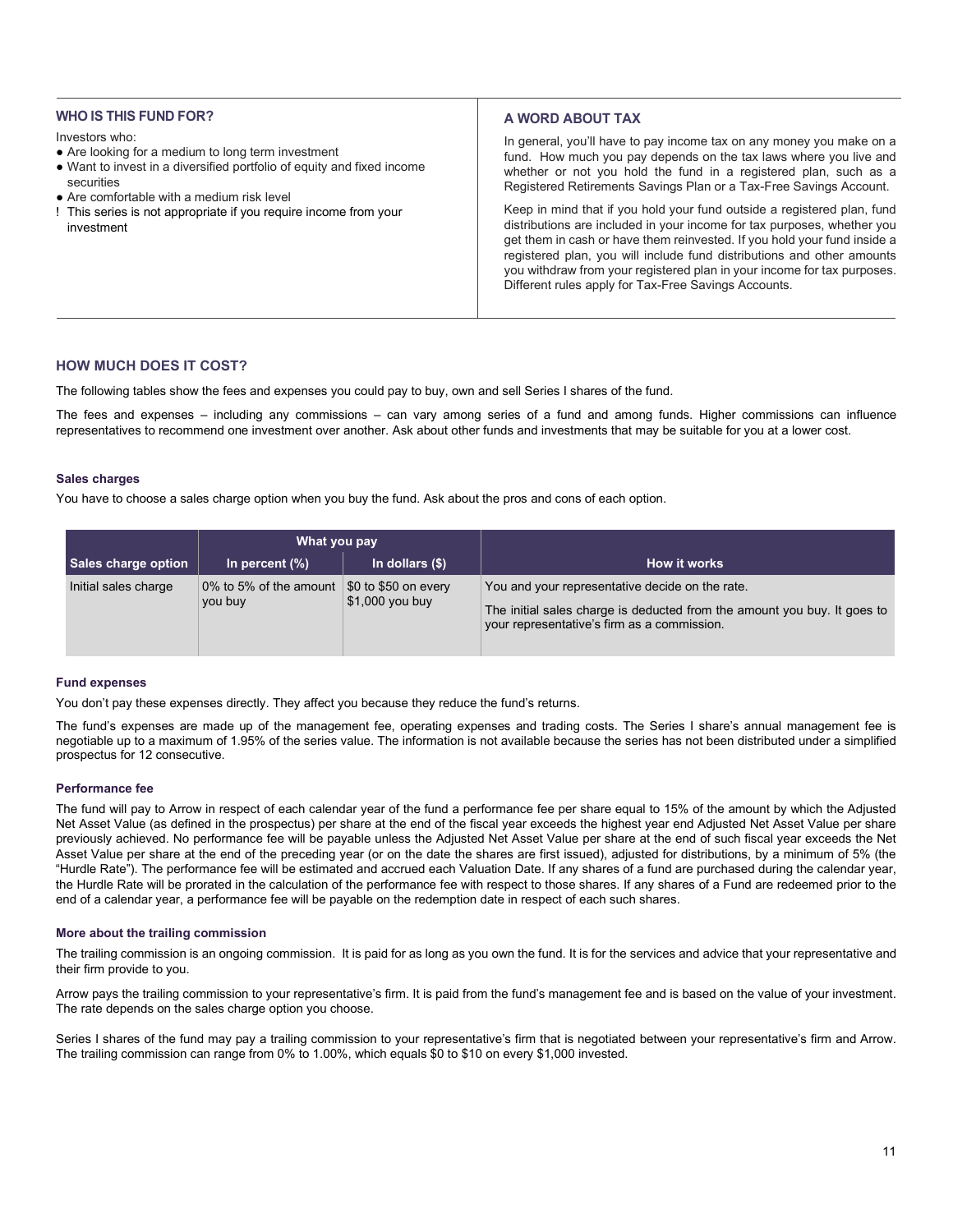## **WHO IS THIS FUND FOR?**

#### Investors who:

- Are looking for a medium to long term investment
- Want to invest in a diversified portfolio of equity and fixed income securities
- Are comfortable with a medium risk level
- ! This series is not appropriate if you require income from your investment

# **A WORD ABOUT TAX**

In general, you'll have to pay income tax on any money you make on a fund. How much you pay depends on the tax laws where you live and whether or not you hold the fund in a registered plan, such as a Registered Retirements Savings Plan or a Tax-Free Savings Account.

Keep in mind that if you hold your fund outside a registered plan, fund distributions are included in your income for tax purposes, whether you get them in cash or have them reinvested. If you hold your fund inside a registered plan, you will include fund distributions and other amounts you withdraw from your registered plan in your income for tax purposes. Different rules apply for Tax-Free Savings Accounts.

# **HOW MUCH DOES IT COST?**

The following tables show the fees and expenses you could pay to buy, own and sell Series I shares of the fund.

The fees and expenses – including any commissions – can vary among series of a fund and among funds. Higher commissions can influence representatives to recommend one investment over another. Ask about other funds and investments that may be suitable for you at a lower cost.

### **Sales charges**

You have to choose a sales charge option when you buy the fund. Ask about the pros and cons of each option.

|                      | What you pay                      |                                                 |                                                                                                                                                                            |  |
|----------------------|-----------------------------------|-------------------------------------------------|----------------------------------------------------------------------------------------------------------------------------------------------------------------------------|--|
| Sales charge option  | In percent $(\%)$                 | In dollars $(\$)$                               | <b>How it works</b>                                                                                                                                                        |  |
| Initial sales charge | 0% to 5% of the amount<br>you buy | \$0 to \$50 on every<br>$\vert$ \$1,000 you buy | You and your representative decide on the rate.<br>The initial sales charge is deducted from the amount you buy. It goes to<br>your representative's firm as a commission. |  |

## **Fund expenses**

You don't pay these expenses directly. They affect you because they reduce the fund's returns.

The fund's expenses are made up of the management fee, operating expenses and trading costs. The Series I share's annual management fee is negotiable up to a maximum of 1.95% of the series value. The information is not available because the series has not been distributed under a simplified prospectus for 12 consecutive.

#### **Performance fee**

The fund will pay to Arrow in respect of each calendar year of the fund a performance fee per share equal to 15% of the amount by which the Adjusted Net Asset Value (as defined in the prospectus) per share at the end of the fiscal year exceeds the highest year end Adjusted Net Asset Value per share previously achieved. No performance fee will be payable unless the Adjusted Net Asset Value per share at the end of such fiscal year exceeds the Net Asset Value per share at the end of the preceding year (or on the date the shares are first issued), adjusted for distributions, by a minimum of 5% (the "Hurdle Rate"). The performance fee will be estimated and accrued each Valuation Date. If any shares of a fund are purchased during the calendar year, the Hurdle Rate will be prorated in the calculation of the performance fee with respect to those shares. If any shares of a Fund are redeemed prior to the end of a calendar year, a performance fee will be payable on the redemption date in respect of each such shares.

## **More about the trailing commission**

The trailing commission is an ongoing commission. It is paid for as long as you own the fund. It is for the services and advice that your representative and their firm provide to you.

Arrow pays the trailing commission to your representative's firm. It is paid from the fund's management fee and is based on the value of your investment. The rate depends on the sales charge option you choose.

Series I shares of the fund may pay a trailing commission to your representative's firm that is negotiated between your representative's firm and Arrow. The trailing commission can range from 0% to 1.00%, which equals \$0 to \$10 on every \$1,000 invested.